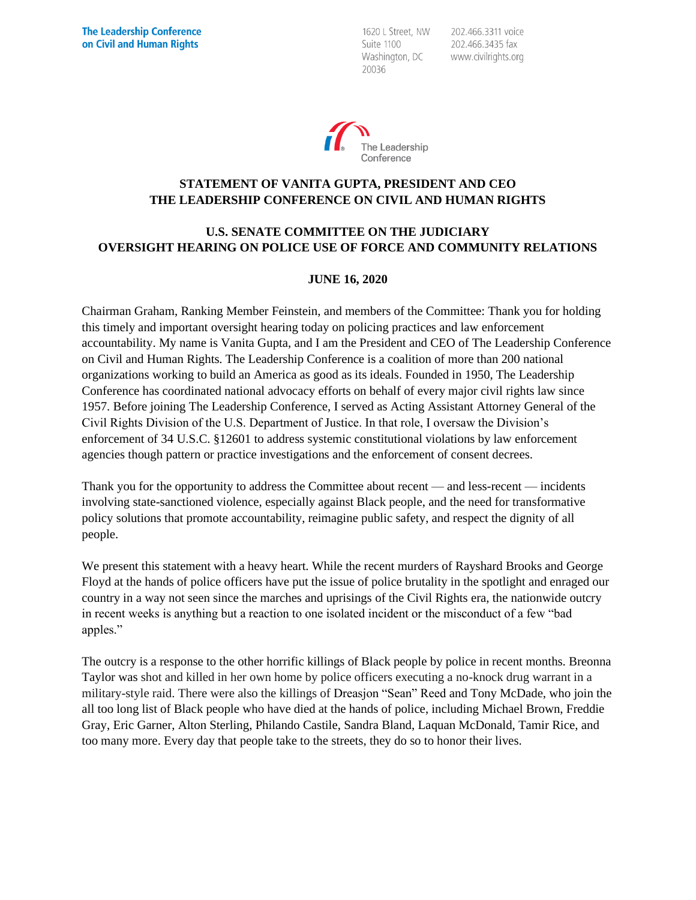1620 L Street, NW Suite 1100 Washington, DC 20036

202.466.3311 voice 202.466.3435 fax www.civilrights.org



## **STATEMENT OF VANITA GUPTA, PRESIDENT AND CEO THE LEADERSHIP CONFERENCE ON CIVIL AND HUMAN RIGHTS**

# **U.S. SENATE COMMITTEE ON THE JUDICIARY OVERSIGHT HEARING ON POLICE USE OF FORCE AND COMMUNITY RELATIONS**

#### **JUNE 16, 2020**

Chairman Graham, Ranking Member Feinstein, and members of the Committee: Thank you for holding this timely and important oversight hearing today on policing practices and law enforcement accountability. My name is Vanita Gupta, and I am the President and CEO of The Leadership Conference on Civil and Human Rights. The Leadership Conference is a coalition of more than 200 national organizations working to build an America as good as its ideals. Founded in 1950, The Leadership Conference has coordinated national advocacy efforts on behalf of every major civil rights law since 1957. Before joining The Leadership Conference, I served as Acting Assistant Attorney General of the Civil Rights Division of the U.S. Department of Justice. In that role, I oversaw the Division's enforcement of 34 U.S.C. §12601 to address systemic constitutional violations by law enforcement agencies though pattern or practice investigations and the enforcement of consent decrees.

Thank you for the opportunity to address the Committee about recent — and less-recent — incidents involving state-sanctioned violence, especially against Black people, and the need for transformative policy solutions that promote accountability, reimagine public safety, and respect the dignity of all people.

We present this statement with a heavy heart. While the recent murders of Rayshard Brooks and George Floyd at the hands of police officers have put the issue of police brutality in the spotlight and enraged our country in a way not seen since the marches and uprisings of the Civil Rights era, the nationwide outcry in recent weeks is anything but a reaction to one isolated incident or the misconduct of a few "bad apples."

The outcry is a response to the other horrific killings of Black people by police in recent months. Breonna Taylor was shot and killed in her own home by police officers executing a no-knock drug warrant in a military-style raid. There were also the killings of Dreasjon "Sean" Reed and Tony McDade, who join the all too long list of Black people who have died at the hands of police, including Michael Brown, Freddie Gray, Eric Garner, Alton Sterling, Philando Castile, Sandra Bland, Laquan McDonald, Tamir Rice, and too many more. Every day that people take to the streets, they do so to honor their lives.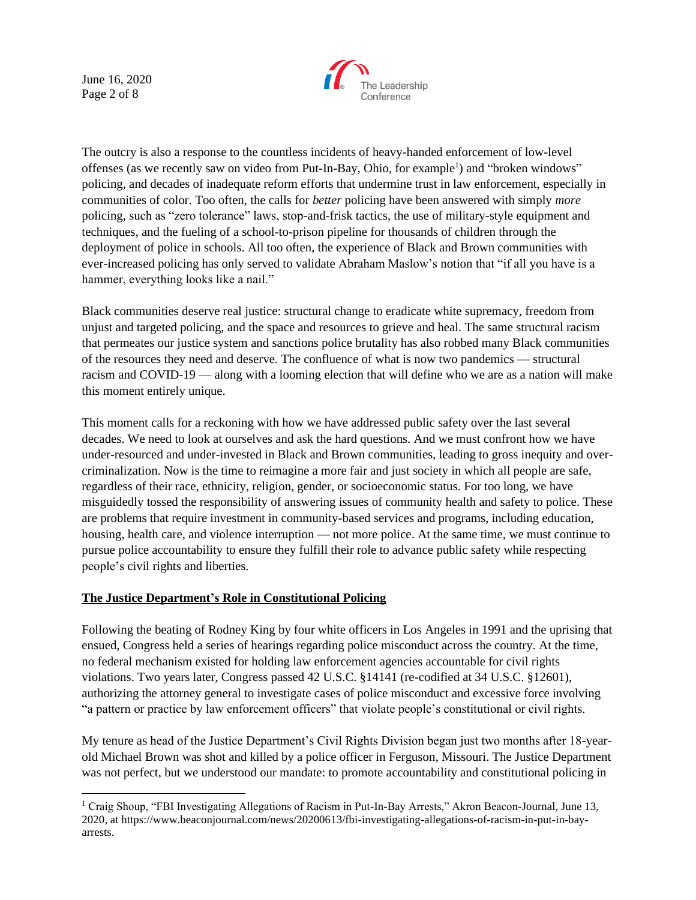June 16, 2020 Page 2 of 8



The outcry is also a response to the countless incidents of heavy-handed enforcement of low-level offenses (as we recently saw on video from Put-In-Bay, Ohio, for example<sup>1</sup>) and "broken windows" policing, and decades of inadequate reform efforts that undermine trust in law enforcement, especially in communities of color. Too often, the calls for *better* policing have been answered with simply *more* policing, such as "zero tolerance" laws, stop-and-frisk tactics, the use of military-style equipment and techniques, and the fueling of a school-to-prison pipeline for thousands of children through the deployment of police in schools. All too often, the experience of Black and Brown communities with ever-increased policing has only served to validate Abraham Maslow's notion that "if all you have is a hammer, everything looks like a nail."

Black communities deserve real justice: structural change to eradicate white supremacy, freedom from unjust and targeted policing, and the space and resources to grieve and heal. The same structural racism that permeates our justice system and sanctions police brutality has also robbed many Black communities of the resources they need and deserve. The confluence of what is now two pandemics — structural racism and COVID-19 — along with a looming election that will define who we are as a nation will make this moment entirely unique.

This moment calls for a reckoning with how we have addressed public safety over the last several decades. We need to look at ourselves and ask the hard questions. And we must confront how we have under-resourced and under-invested in Black and Brown communities, leading to gross inequity and overcriminalization. Now is the time to reimagine a more fair and just society in which all people are safe, regardless of their race, ethnicity, religion, gender, or socioeconomic status. For too long, we have misguidedly tossed the responsibility of answering issues of community health and safety to police. These are problems that require investment in community-based services and programs, including education, housing, health care, and violence interruption — not more police. At the same time, we must continue to pursue police accountability to ensure they fulfill their role to advance public safety while respecting people's civil rights and liberties.

### **The Justice Department's Role in Constitutional Policing**

Following the beating of Rodney King by four white officers in Los Angeles in 1991 and the uprising that ensued, Congress held a series of hearings regarding police misconduct across the country. At the time, no federal mechanism existed for holding law enforcement agencies accountable for civil rights violations. Two years later, Congress passed 42 U.S.C. §14141 (re-codified at 34 U.S.C. §12601), authorizing the attorney general to investigate cases of police misconduct and excessive force involving "a pattern or practice by law enforcement officers" that violate people's constitutional or civil rights.

My tenure as head of the Justice Department's Civil Rights Division began just two months after 18-yearold Michael Brown was shot and killed by a police officer in Ferguson, Missouri. The Justice Department was not perfect, but we understood our mandate: to promote accountability and constitutional policing in

<sup>&</sup>lt;sup>1</sup> Craig Shoup, "FBI Investigating Allegations of Racism in Put-In-Bay Arrests," Akron Beacon-Journal, June 13, 2020, at https://www.beaconjournal.com/news/20200613/fbi-investigating-allegations-of-racism-in-put-in-bayarrests.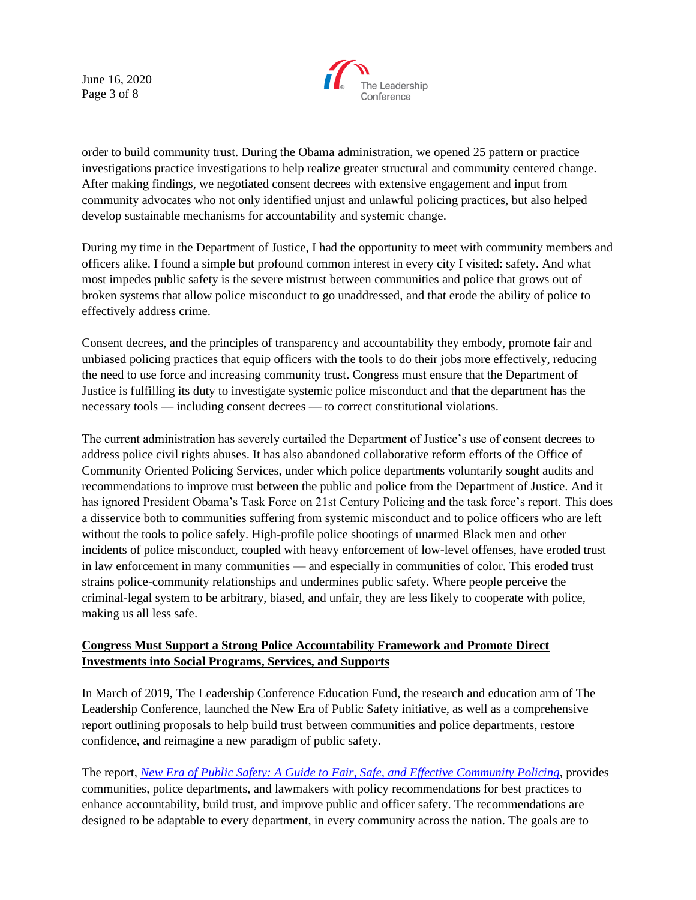June 16, 2020 Page 3 of 8



order to build community trust. During the Obama administration, we opened 25 pattern or practice investigations practice investigations to help realize greater structural and community centered change. After making findings, we negotiated consent decrees with extensive engagement and input from community advocates who not only identified unjust and unlawful policing practices, but also helped develop sustainable mechanisms for accountability and systemic change.

During my time in the Department of Justice, I had the opportunity to meet with community members and officers alike. I found a simple but profound common interest in every city I visited: safety. And what most impedes public safety is the severe mistrust between communities and police that grows out of broken systems that allow police misconduct to go unaddressed, and that erode the ability of police to effectively address crime.

Consent decrees, and the principles of transparency and accountability they embody, promote fair and unbiased policing practices that equip officers with the tools to do their jobs more effectively, reducing the need to use force and increasing community trust. Congress must ensure that the Department of Justice is fulfilling its duty to investigate systemic police misconduct and that the department has the necessary tools — including consent decrees — to correct constitutional violations.

The current administration has severely curtailed the Department of Justice's use of consent decrees to address police civil rights abuses. It has also abandoned collaborative reform efforts of the Office of Community Oriented Policing Services, under which police departments voluntarily sought audits and recommendations to improve trust between the public and police from the Department of Justice. And it has ignored President Obama's Task Force on 21st Century Policing and the task force's report. This does a disservice both to communities suffering from systemic misconduct and to police officers who are left without the tools to police safely. High-profile police shootings of unarmed Black men and other incidents of police misconduct, coupled with heavy enforcement of low-level offenses, have eroded trust in law enforcement in many communities — and especially in communities of color. This eroded trust strains police-community relationships and undermines public safety. Where people perceive the criminal-legal system to be arbitrary, biased, and unfair, they are less likely to cooperate with police, making us all less safe.

## **Congress Must Support a Strong Police Accountability Framework and Promote Direct Investments into Social Programs, Services, and Supports**

In March of 2019, The Leadership Conference Education Fund, the research and education arm of The Leadership Conference, launched the New Era of Public Safety initiative, as well as a comprehensive report outlining proposals to help build trust between communities and police departments, restore confidence, and reimagine a new paradigm of public safety.

The report, *[New Era of Public Safety: A Guide to Fair, Safe, and Effective Community Policing](https://civilrights.org/wp-content/uploads/Policing_Full_Report.pdf)*, provides communities, police departments, and lawmakers with policy recommendations for best practices to enhance accountability, build trust, and improve public and officer safety. The recommendations are designed to be adaptable to every department, in every community across the nation. The goals are to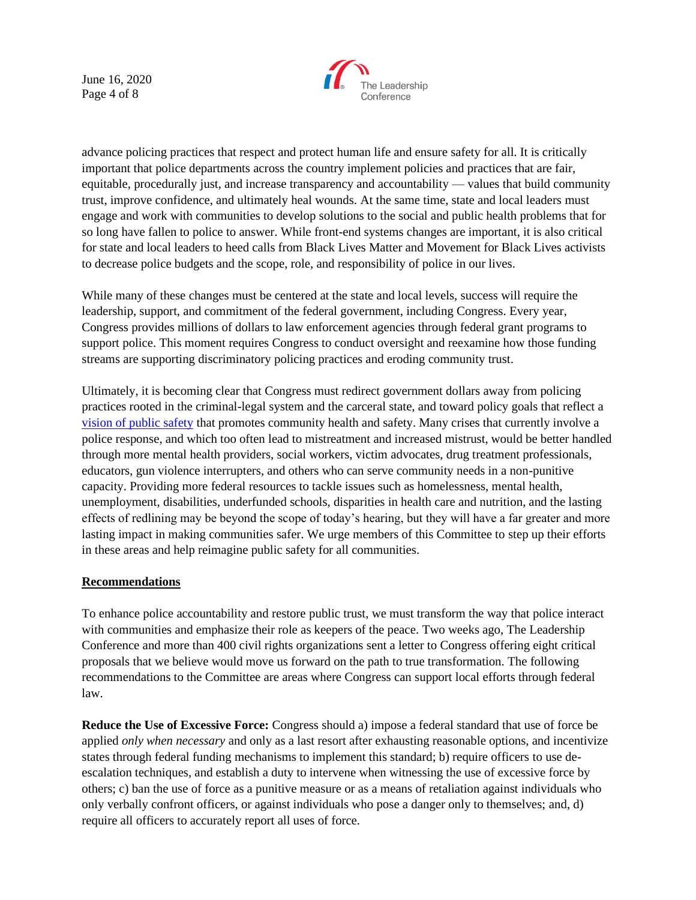June 16, 2020 Page 4 of 8



advance policing practices that respect and protect human life and ensure safety for all. It is critically important that police departments across the country implement policies and practices that are fair, equitable, procedurally just, and increase transparency and accountability — values that build community trust, improve confidence, and ultimately heal wounds. At the same time, state and local leaders must engage and work with communities to develop solutions to the social and public health problems that for so long have fallen to police to answer. While front-end systems changes are important, it is also critical for state and local leaders to heed calls from Black Lives Matter and Movement for Black Lives activists to decrease police budgets and the scope, role, and responsibility of police in our lives.

While many of these changes must be centered at the state and local levels, success will require the leadership, support, and commitment of the federal government, including Congress. Every year, Congress provides millions of dollars to law enforcement agencies through federal grant programs to support police. This moment requires Congress to conduct oversight and reexamine how those funding streams are supporting discriminatory policing practices and eroding community trust.

Ultimately, it is becoming clear that Congress must redirect government dollars away from policing practices rooted in the criminal-legal system and the carceral state, and toward policy goals that reflect a [vision of public safety](http://civilrightsdocs.info/pdf/reports/Vision-For-Justice-2020-SHORT.pdf) that promotes community health and safety. Many crises that currently involve a police response, and which too often lead to mistreatment and increased mistrust, would be better handled through more mental health providers, social workers, victim advocates, drug treatment professionals, educators, gun violence interrupters, and others who can serve community needs in a non-punitive capacity. Providing more federal resources to tackle issues such as homelessness, mental health, unemployment, disabilities, underfunded schools, disparities in health care and nutrition, and the lasting effects of redlining may be beyond the scope of today's hearing, but they will have a far greater and more lasting impact in making communities safer. We urge members of this Committee to step up their efforts in these areas and help reimagine public safety for all communities.

#### **Recommendations**

To enhance police accountability and restore public trust, we must transform the way that police interact with communities and emphasize their role as keepers of the peace. Two weeks ago, The Leadership Conference and more than 400 civil rights organizations sent a letter to Congress offering eight critical proposals that we believe would move us forward on the path to true transformation. The following recommendations to the Committee are areas where Congress can support local efforts through federal law.

**Reduce the Use of Excessive Force:** Congress should a) impose a federal standard that use of force be applied *only when necessary* and only as a last resort after exhausting reasonable options, and incentivize states through federal funding mechanisms to implement this standard; b) require officers to use deescalation techniques, and establish a duty to intervene when witnessing the use of excessive force by others; c) ban the use of force as a punitive measure or as a means of retaliation against individuals who only verbally confront officers, or against individuals who pose a danger only to themselves; and, d) require all officers to accurately report all uses of force.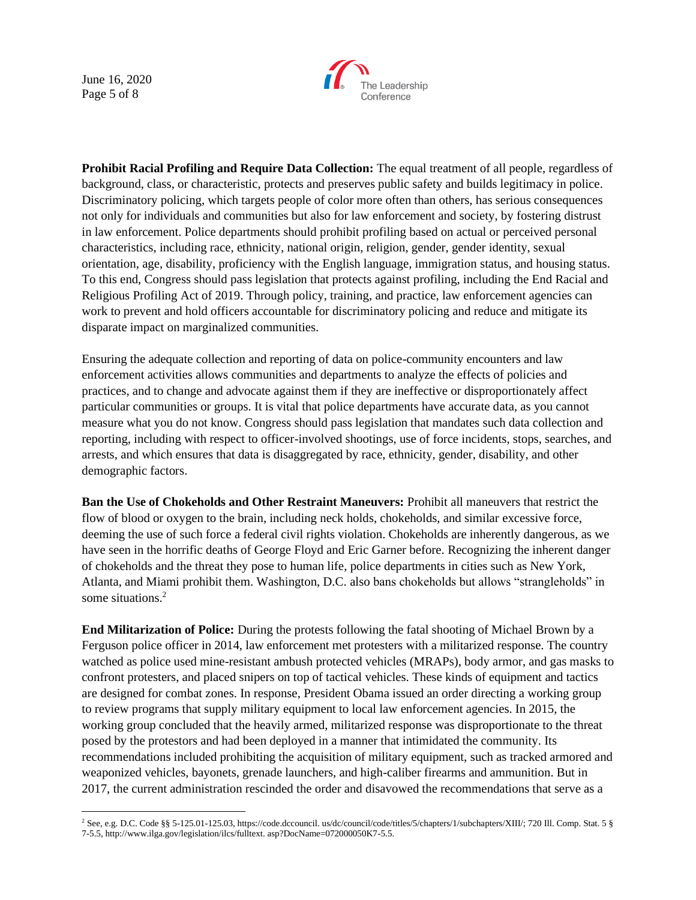June 16, 2020 Page 5 of 8



**Prohibit Racial Profiling and Require Data Collection:** The equal treatment of all people, regardless of background, class, or characteristic, protects and preserves public safety and builds legitimacy in police. Discriminatory policing, which targets people of color more often than others, has serious consequences not only for individuals and communities but also for law enforcement and society, by fostering distrust in law enforcement. Police departments should prohibit profiling based on actual or perceived personal characteristics, including race, ethnicity, national origin, religion, gender, gender identity, sexual orientation, age, disability, proficiency with the English language, immigration status, and housing status. To this end, Congress should pass legislation that protects against profiling, including the End Racial and Religious Profiling Act of 2019. Through policy, training, and practice, law enforcement agencies can work to prevent and hold officers accountable for discriminatory policing and reduce and mitigate its disparate impact on marginalized communities.

Ensuring the adequate collection and reporting of data on police-community encounters and law enforcement activities allows communities and departments to analyze the effects of policies and practices, and to change and advocate against them if they are ineffective or disproportionately affect particular communities or groups. It is vital that police departments have accurate data, as you cannot measure what you do not know. Congress should pass legislation that mandates such data collection and reporting, including with respect to officer-involved shootings, use of force incidents, stops, searches, and arrests, and which ensures that data is disaggregated by race, ethnicity, gender, disability, and other demographic factors.

**Ban the Use of Chokeholds and Other Restraint Maneuvers:** Prohibit all maneuvers that restrict the flow of blood or oxygen to the brain, including neck holds, chokeholds, and similar excessive force, deeming the use of such force a federal civil rights violation. Chokeholds are inherently dangerous, as we have seen in the horrific deaths of George Floyd and Eric Garner before. Recognizing the inherent danger of chokeholds and the threat they pose to human life, police departments in cities such as New York, Atlanta, and Miami prohibit them. Washington, D.C. also bans chokeholds but allows "strangleholds" in some situations.<sup>2</sup>

**End Militarization of Police:** During the protests following the fatal shooting of Michael Brown by a Ferguson police officer in 2014, law enforcement met protesters with a militarized response. The country watched as police used mine-resistant ambush protected vehicles (MRAPs), body armor, and gas masks to confront protesters, and placed snipers on top of tactical vehicles. These kinds of equipment and tactics are designed for combat zones. In response, President Obama issued an order directing a working group to review programs that supply military equipment to local law enforcement agencies. In 2015, the working group concluded that the heavily armed, militarized response was disproportionate to the threat posed by the protestors and had been deployed in a manner that intimidated the community. Its recommendations included prohibiting the acquisition of military equipment, such as tracked armored and weaponized vehicles, bayonets, grenade launchers, and high-caliber firearms and ammunition. But in 2017, the current administration rescinded the order and disavowed the recommendations that serve as a

<sup>&</sup>lt;sup>2</sup> See, e.g. D.C. Code §§ 5-125.01-125.03, https://code.dccouncil. us/dc/council/code/titles/5/chapters/1/subchapters/XIII/; 720 Ill. Comp. Stat. 5 § 7-5.5, http://www.ilga.gov/legislation/ilcs/fulltext. asp?DocName=072000050K7-5.5.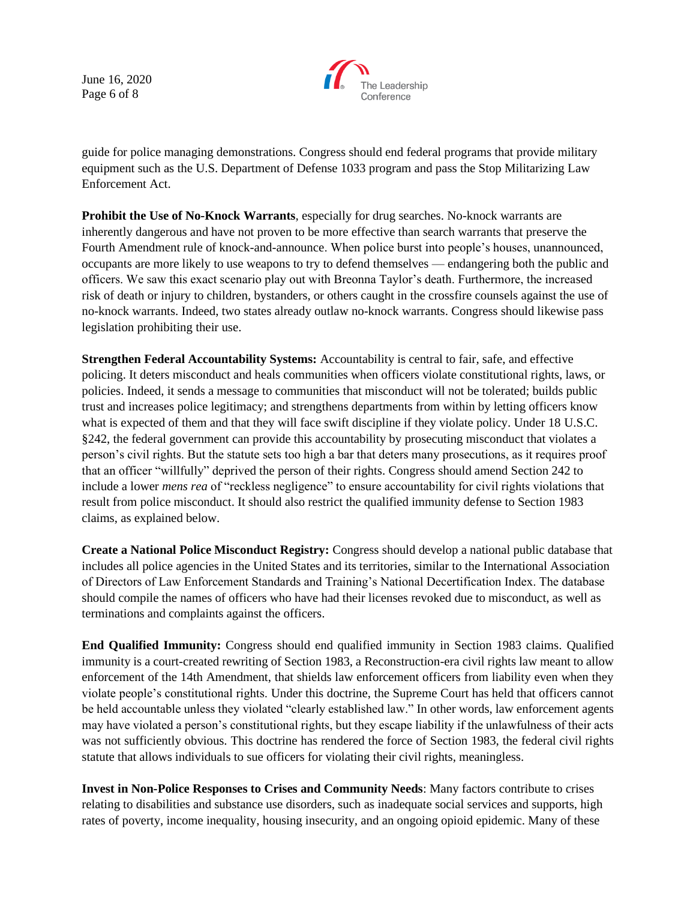June 16, 2020 Page 6 of 8



guide for police managing demonstrations. Congress should end federal programs that provide military equipment such as the U.S. Department of Defense 1033 program and pass the Stop Militarizing Law Enforcement Act.

**Prohibit the Use of No-Knock Warrants**, especially for drug searches. No-knock warrants are inherently dangerous and have not proven to be more effective than search warrants that preserve the Fourth Amendment rule of knock-and-announce. When police burst into people's houses, unannounced, occupants are more likely to use weapons to try to defend themselves — endangering both the public and officers. We saw this exact scenario play out with Breonna Taylor's death. Furthermore, the increased risk of death or injury to children, bystanders, or others caught in the crossfire counsels against the use of no-knock warrants. Indeed, two states already outlaw no-knock warrants. Congress should likewise pass legislation prohibiting their use.

**Strengthen Federal Accountability Systems:** Accountability is central to fair, safe, and effective policing. It deters misconduct and heals communities when officers violate constitutional rights, laws, or policies. Indeed, it sends a message to communities that misconduct will not be tolerated; builds public trust and increases police legitimacy; and strengthens departments from within by letting officers know what is expected of them and that they will face swift discipline if they violate policy. Under 18 U.S.C. §242, the federal government can provide this accountability by prosecuting misconduct that violates a person's civil rights. But the statute sets too high a bar that deters many prosecutions, as it requires proof that an officer "willfully" deprived the person of their rights. Congress should amend Section 242 to include a lower *mens rea* of "reckless negligence" to ensure accountability for civil rights violations that result from police misconduct. It should also restrict the qualified immunity defense to Section 1983 claims, as explained below.

**Create a National Police Misconduct Registry:** Congress should develop a national public database that includes all police agencies in the United States and its territories, similar to the International Association of Directors of Law Enforcement Standards and Training's National Decertification Index. The database should compile the names of officers who have had their licenses revoked due to misconduct, as well as terminations and complaints against the officers.

**End Qualified Immunity:** Congress should end qualified immunity in Section 1983 claims. Qualified immunity is a court-created rewriting of Section 1983, a Reconstruction-era civil rights law meant to allow enforcement of the 14th Amendment, that shields law enforcement officers from liability even when they violate people's constitutional rights. Under this doctrine, the Supreme Court has held that officers cannot be held accountable unless they violated "clearly established law." In other words, law enforcement agents may have violated a person's constitutional rights, but they escape liability if the unlawfulness of their acts was not sufficiently obvious. This doctrine has rendered the force of Section 1983, the federal civil rights statute that allows individuals to sue officers for violating their civil rights, meaningless.

**Invest in Non-Police Responses to Crises and Community Needs**: Many factors contribute to crises relating to disabilities and substance use disorders, such as inadequate social services and supports, high rates of poverty, income inequality, housing insecurity, and an ongoing opioid epidemic. Many of these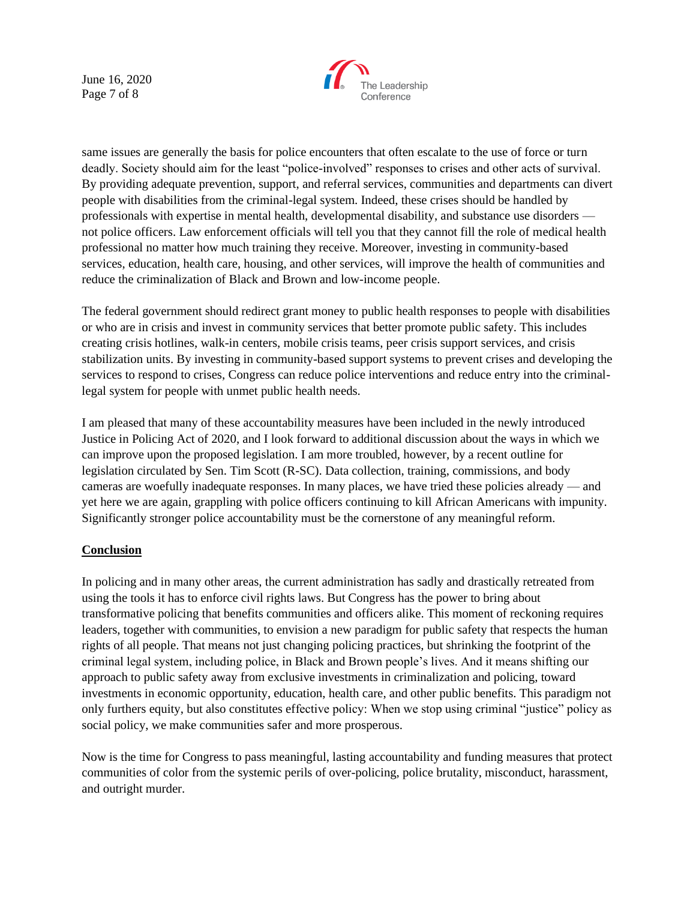June 16, 2020 Page 7 of 8



same issues are generally the basis for police encounters that often escalate to the use of force or turn deadly. Society should aim for the least "police-involved" responses to crises and other acts of survival. By providing adequate prevention, support, and referral services, communities and departments can divert people with disabilities from the criminal-legal system. Indeed, these crises should be handled by professionals with expertise in mental health, developmental disability, and substance use disorders not police officers. Law enforcement officials will tell you that they cannot fill the role of medical health professional no matter how much training they receive. Moreover, investing in community-based services, education, health care, housing, and other services, will improve the health of communities and reduce the criminalization of Black and Brown and low-income people.

The federal government should redirect grant money to public health responses to people with disabilities or who are in crisis and invest in community services that better promote public safety. This includes creating crisis hotlines, walk-in centers, mobile crisis teams, peer crisis support services, and crisis stabilization units. By investing in community-based support systems to prevent crises and developing the services to respond to crises, Congress can reduce police interventions and reduce entry into the criminallegal system for people with unmet public health needs.

I am pleased that many of these accountability measures have been included in the newly introduced Justice in Policing Act of 2020, and I look forward to additional discussion about the ways in which we can improve upon the proposed legislation. I am more troubled, however, by a recent outline for legislation circulated by Sen. Tim Scott (R-SC). Data collection, training, commissions, and body cameras are woefully inadequate responses. In many places, we have tried these policies already — and yet here we are again, grappling with police officers continuing to kill African Americans with impunity. Significantly stronger police accountability must be the cornerstone of any meaningful reform.

# **Conclusion**

In policing and in many other areas, the current administration has sadly and drastically retreated from using the tools it has to enforce civil rights laws. But Congress has the power to bring about transformative policing that benefits communities and officers alike. This moment of reckoning requires leaders, together with communities, to envision a new paradigm for public safety that respects the human rights of all people. That means not just changing policing practices, but shrinking the footprint of the criminal legal system, including police, in Black and Brown people's lives. And it means shifting our approach to public safety away from exclusive investments in criminalization and policing, toward investments in economic opportunity, education, health care, and other public benefits. This paradigm not only furthers equity, but also constitutes effective policy: When we stop using criminal "justice" policy as social policy, we make communities safer and more prosperous.

Now is the time for Congress to pass meaningful, lasting accountability and funding measures that protect communities of color from the systemic perils of over-policing, police brutality, misconduct, harassment, and outright murder.